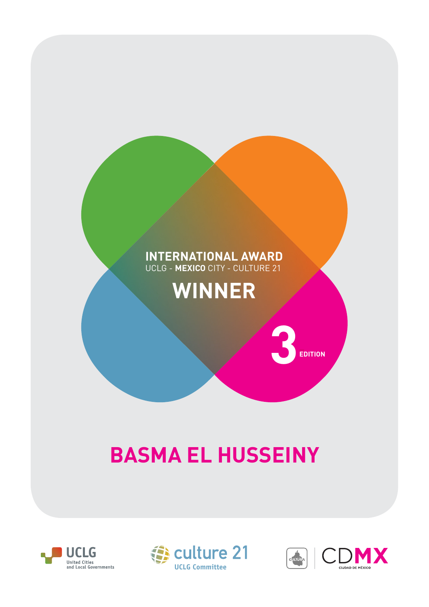## **INTERNATIONAL AWARD** UCLG - **MEXICO** CITY - CULTURE 21

## **WINNER**

## **BASMA EL HUSSEINY**







 $3$ <sub>EDITION</sub>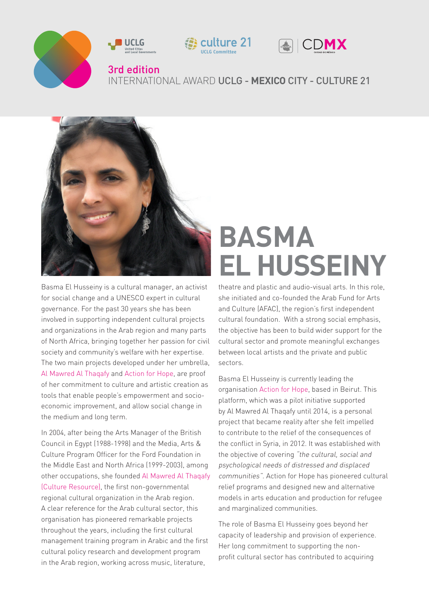



Basma El Husseiny is a cultural manager, an activist for social change and a UNESCO expert in cultural governance. For the past 30 years she has been involved in supporting independent cultural projects and organizations in the Arab region and many parts of North Africa, bringing together her passion for civil society and community's welfare with her expertise. The two main projects developed under her umbrella, [Al Mawred Al Thaqafy](http://mawred.org/) and [Action for Hope,](http://act4hope.org/) are proof of her commitment to culture and artistic creation as tools that enable people's empowerment and socioeconomic improvement, and allow social change in the medium and long term.

In 2004, after being the Arts Manager of the British Council in Egypt (1988-1998) and the Media, Arts & Culture Program Officer for the Ford Foundation in the Middle East and North Africa (1999-2003), among other occupations, she founded [Al Mawred Al Thaqafy](http://mawred.org/about-us/)  [\(Culture Resource\)](http://mawred.org/about-us/), the first non-governmental regional cultural organization in the Arab region. A clear reference for the Arab cultural sector, this organisation has pioneered remarkable projects throughout the years, including the first cultural management training program in Arabic and the first cultural policy research and development program in the Arab region, working across music, literature,

## **BASMA EL HUSSEINY**

theatre and plastic and audio-visual arts. In this role, she initiated and co-founded the Arab Fund for Arts and Culture (AFAC), the region's first independent cultural foundation. With a strong social emphasis, the objective has been to build wider support for the cultural sector and promote meaningful exchanges between local artists and the private and public sectors.

Basma El Husseiny is currently leading the organisation [Action for Hope,](http://act4hope.org/) based in Beirut. This platform, which was a pilot initiative supported by Al Mawred Al Thaqafy until 2014, is a personal project that became reality after she felt impelled to contribute to the relief of the consequences of the conflict in Syria, in 2012. It was established with the objective of covering "the cultural, social and psychological needs of distressed and displaced communities". Action for Hope has pioneered cultural relief programs and designed new and alternative models in arts education and production for refugee and marginalized communities.

The role of Basma El Husseiny goes beyond her capacity of leadership and provision of experience. Her long commitment to supporting the nonprofit cultural sector has contributed to acquiring